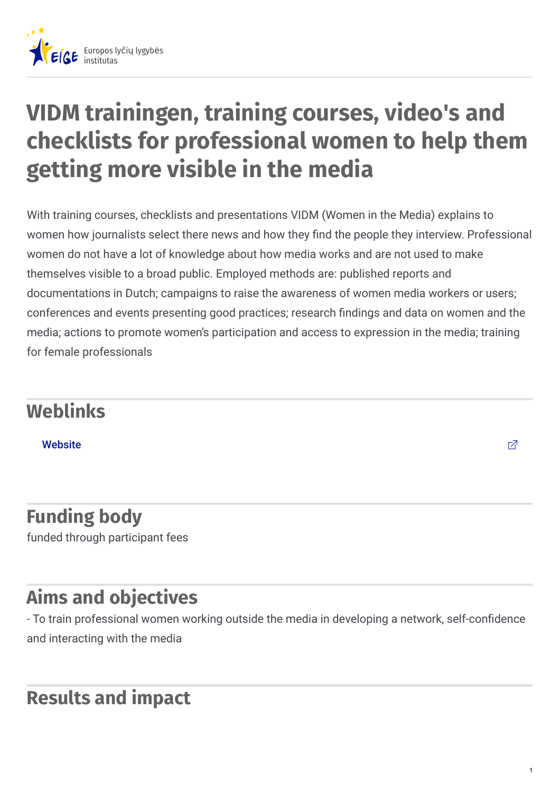

# **VIDM trainingen, training courses, video's and checklists for professional women to help them getting more visible in the media**

With training courses, checklists and presentations VIDM (Women in the Media) explains to women how journalists select there news and how they find the people they interview. Professional women do not have a lot of knowledge about how media works and are not used to make themselves visible to a broad public. Employed methods are: published reports and documentations in Dutch; campaigns to raise the awareness of women media workers or users; conferences and events presenting good practices; research findings and data on women and the media; actions to promote women's participation and access to expression in the media; training for female professionals

# **Weblinks**

[Website](http://www.vidm.nl)  $\Box$ 

### **Funding body** funded through participant fees

# **Aims and objectives**

- To train professional women working outside the media in developing a network, self-confidence and interacting with the media

## **Results and impact**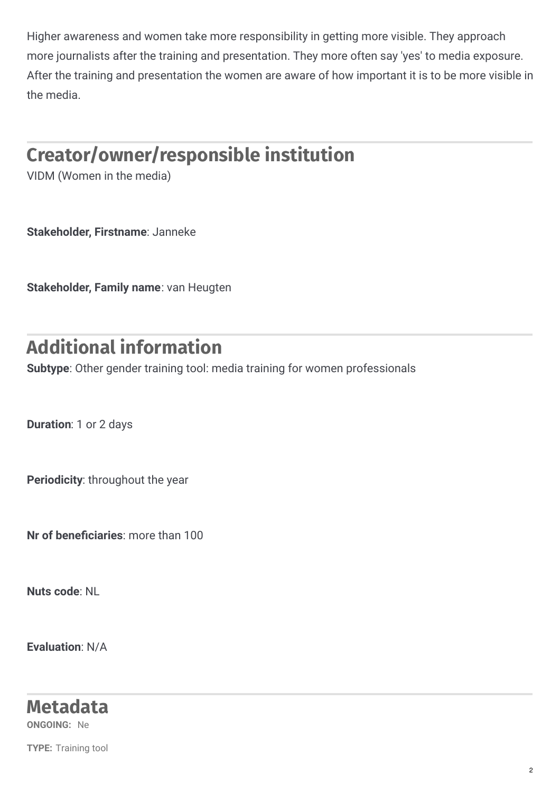Higher awareness and women take more responsibility in getting more visible. They approach more journalists after the training and presentation. They more often say 'yes' to media exposure. After the training and presentation the women are aware of how important it is to be more visible in the media.

# **Creator/owner/responsible institution**

VIDM (Women in the media)

**Stakeholder, Firstname**: Janneke

**Stakeholder, Family name**: van Heugten

# **Additional information**

**Subtype**: Other gender training tool: media training for women professionals

**Duration**: 1 or 2 days

**Periodicity**: throughout the year

**Nr** of **beneficiaries**: more than 100

**Nuts code**: NL

**Evaluation**: N/A

#### **Metadata**

**ONGOING:** Ne

**TYPE:** Training tool